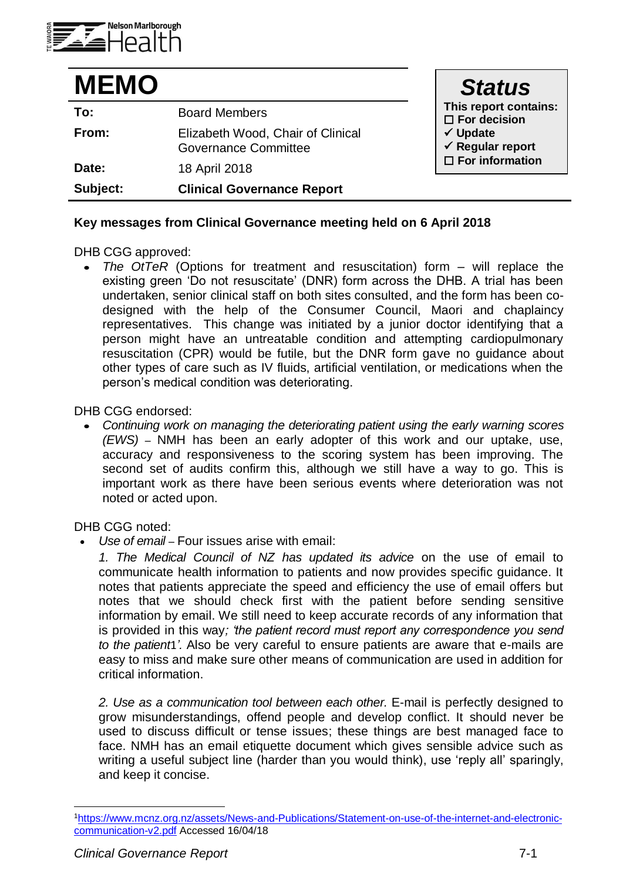

| <b>MEMO</b> |                                                                  | <b>Status</b>                                      |
|-------------|------------------------------------------------------------------|----------------------------------------------------|
| To:         | <b>Board Members</b>                                             | This report contains:<br>$\Box$ For decision       |
| From:       | Elizabeth Wood, Chair of Clinical<br><b>Governance Committee</b> | $\checkmark$ Update<br>$\checkmark$ Regular report |
| Date:       | 18 April 2018                                                    | $\square$ For information                          |
| Subject:    | <b>Clinical Governance Report</b>                                |                                                    |

## **Key messages from Clinical Governance meeting held on 6 April 2018**

DHB CGG approved:

 *The OtTeR* (Options for treatment and resuscitation) form – will replace the existing green 'Do not resuscitate' (DNR) form across the DHB. A trial has been undertaken, senior clinical staff on both sites consulted, and the form has been codesigned with the help of the Consumer Council, Maori and chaplaincy representatives. This change was initiated by a junior doctor identifying that a person might have an untreatable condition and attempting cardiopulmonary resuscitation (CPR) would be futile, but the DNR form gave no guidance about other types of care such as IV fluids, artificial ventilation, or medications when the person's medical condition was deteriorating.

DHB CGG endorsed:

 *Continuing work on managing the deteriorating patient using the early warning scores (EWS) –* NMH has been an early adopter of this work and our uptake, use, accuracy and responsiveness to the scoring system has been improving. The second set of audits confirm this, although we still have a way to go. This is important work as there have been serious events where deterioration was not noted or acted upon.

DHB CGG noted:

*Use of email –* Four issues arise with email:

1. The Medical Council of NZ has updated its advice on the use of email to communicate health information to patients and now provides specific guidance. It notes that patients appreciate the speed and efficiency the use of email offers but notes that we should check first with the patient before sending sensitive information by email. We still need to keep accurate records of any information that is provided in this way*; 'the patient record must report any correspondence you send to the patient*1*'.* Also be very careful to ensure patients are aware that e-mails are easy to miss and make sure other means of communication are used in addition for critical information.

*2. Use as a communication tool between each other.* E-mail is perfectly designed to grow misunderstandings, offend people and develop conflict. It should never be used to discuss difficult or tense issues; these things are best managed face to face. NMH has an email etiquette document which gives sensible advice such as writing a useful subject line (harder than you would think), use 'reply all' sparingly, and keep it concise.

l

<sup>1</sup>[https://www.mcnz.org.nz/assets/News-and-Publications/Statement-on-use-of-the-internet-and-electronic](https://www.mcnz.org.nz/assets/News-and-Publications/Statement-on-use-of-the-internet-and-electronic-communication-v2.pdf)[communication-v2.pdf](https://www.mcnz.org.nz/assets/News-and-Publications/Statement-on-use-of-the-internet-and-electronic-communication-v2.pdf) Accessed 16/04/18